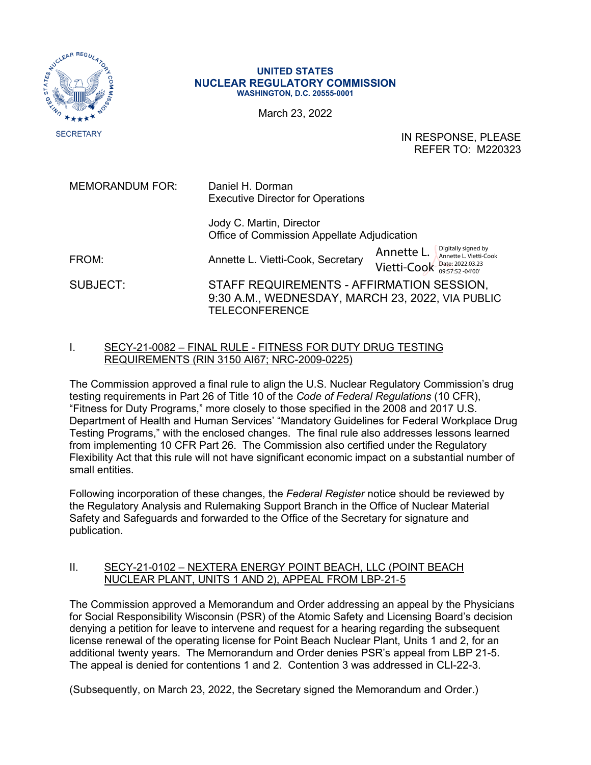

## **UNITED STATES NUCLEAR REGULATORY COMMISSION WASHINGTON, D.C. 20555-0001**

March 23, 2022

IN RESPONSE, PLEASE REFER TO: M220323

MEMORANDUM FOR: Daniel H. Dorman Executive Director for Operations

> Jody C. Martin, Director Office of Commission Appellate Adjudication

FROM: **Annette L. Vietti-Cook, Secretary** SUBJECT: STAFF REQUIREMENTS - AFFIRMATION SESSION, 9:30 A.M., WEDNESDAY, MARCH 23, 2022, VIA PUBLIC **TELECONFERENCE** Annette L. Vietti-Cook Date: 2022.03.23 Digitally signed by Annette L. Vietti-Cook

## I. SECY-21-0082 – FINAL RULE - FITNESS FOR DUTY DRUG TESTING REQUIREMENTS (RIN 3150 AI67; NRC-2009-0225)

The Commission approved a final rule to align the U.S. Nuclear Regulatory Commission's drug testing requirements in Part 26 of Title 10 of the *Code of Federal Regulations* (10 CFR), "Fitness for Duty Programs," more closely to those specified in the 2008 and 2017 U.S. Department of Health and Human Services' "Mandatory Guidelines for Federal Workplace Drug Testing Programs," with the enclosed changes. The final rule also addresses lessons learned from implementing 10 CFR Part 26. The Commission also certified under the Regulatory Flexibility Act that this rule will not have significant economic impact on a substantial number of small entities.

Following incorporation of these changes, the *Federal Register* notice should be reviewed by the Regulatory Analysis and Rulemaking Support Branch in the Office of Nuclear Material Safety and Safeguards and forwarded to the Office of the Secretary for signature and publication.

## II. SECY-21-0102 – NEXTERA ENERGY POINT BEACH, LLC (POINT BEACH NUCLEAR PLANT, UNITS 1 AND 2), APPEAL FROM LBP‑21‑5

The Commission approved a Memorandum and Order addressing an appeal by the Physicians for Social Responsibility Wisconsin (PSR) of the Atomic Safety and Licensing Board's decision denying a petition for leave to intervene and request for a hearing regarding the subsequent license renewal of the operating license for Point Beach Nuclear Plant, Units 1 and 2, for an additional twenty years. The Memorandum and Order denies PSR's appeal from LBP 21-5. The appeal is denied for contentions 1 and 2. Contention 3 was addressed in CLI-22-3.

(Subsequently, on March 23, 2022, the Secretary signed the Memorandum and Order.)